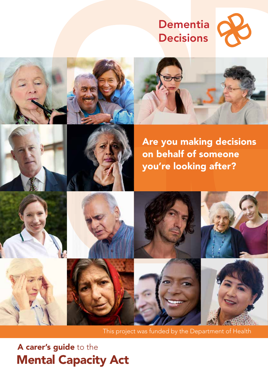# Dementia **Decisions**









Are you making decisions on behalf of someone you're looking after?



This project was funded by the Department of Health

Mental Capacity Act A carer's guide to the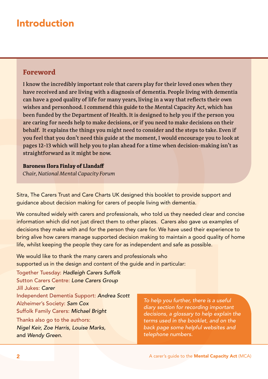## Introduction

### **Foreword**

I know the incredibly important role that carers play for their loved ones when they have received and are living with a diagnosis of dementia. People living with dementia can have a good quality of life for many years, living in a way that reflects their own wishes and personhood. I commend this guide to the Mental Capacity Act, which has been funded by the Department of Health. It is designed to help you if the person you are caring for needs help to make decisions, or if you need to make decisions on their behalf. It explains the things you might need to consider and the steps to take. Even if you feel that you don't need this guide at the moment, I would encourage you to look at pages 12-13 which will help you to plan ahead for a time when decision-making isn't as straightforward as it might be now.

**Baroness Ilora Finlay of Llandaff** 

*Chair, National Mental Capacity Forum* 

Sitra, The Carers Trust and Care Charts UK designed this booklet to provide support and guidance about decision making for carers of people living with dementia.

We consulted widely with carers and professionals, who told us they needed clear and concise information which did not just direct them to other places. Carers also gave us examples of decisions they make with and for the person they care for. We have used their experience to bring alive how carers manage supported decision making to maintain a good quality of home life, whilst keeping the people they care for as independent and safe as possible.

We would like to thank the many carers and professionals who supported us in the design and content of the guide and in particular:

Together Tuesday: *Hadleigh Carers Suffolk* Sutton Carers Centre: *Lone Carers Group* Jill Jukes: *Carer* Independent Dementia Support: *Andrea Scott* Alzheimer's Society: *Sam Cox* Suffolk Family Carers: *Michael Bright*

Thanks also go to the authors: *Nigel Keir, Zoe Harris, Louise Marks,*  and *Wendy Green.*

*To help you further, there is a useful diary section for recording important decisions, a glossary to help explain the terms used in the booklet, and on the back page some helpful websites and telephone numbers.*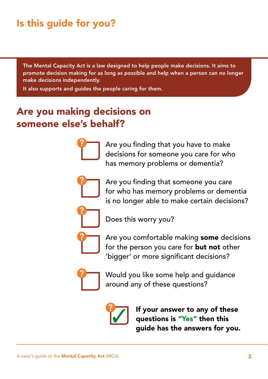# Is this guide for you?

The Mental Capacity Act is a law designed to help people make decisions. It aims to promote decision making for as long as possible and help when a person can no longer make decisions independently.

It also supports and guides the people caring for them.

## Are you making decisions on someone else's behalf?



Are you finding that you have to make decisions for someone you care for who has memory problems or dementia?

Are you finding that someone you care for who has memory problems or dementia is no longer able to make certain decisions?

Does this worry you?

Are you comfortable making some decisions for the person you care for **but not** other 'bigger' or more significant decisions?



Would you like some help and guidance around any of these questions?



If your answer to any of these questions is "Yes" then this guide has the answers for you.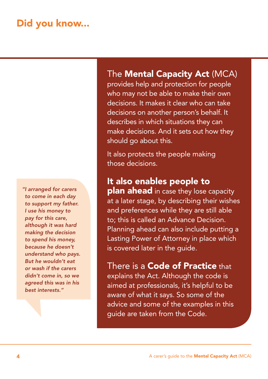## Did you know...

*"I arranged for carers to come in each day to support my father. I use his money to pay for this care, although it was hard making the decision to spend his money, because he doesn't understand who pays. But he wouldn't eat or wash if the carers didn't come in, so we agreed this was in his best interests."*

## The Mental Capacity Act (MCA)

provides help and protection for people who may not be able to make their own decisions. It makes it clear who can take decisions on another person's behalf. It describes in which situations they can make decisions. And it sets out how they should go about this.

It also protects the people making those decisions.

## It also enables people to

plan ahead in case they lose capacity at a later stage, by describing their wishes and preferences while they are still able to; this is called an Advance Decision. Planning ahead can also include putting a Lasting Power of Attorney in place which is covered later in the guide.

## There is a **Code of Practice** that

explains the Act. Although the code is aimed at professionals, it's helpful to be aware of what it says. So some of the advice and some of the examples in this guide are taken from the Code.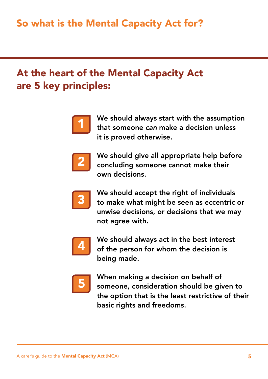# At the heart of the Mental Capacity Act are 5 key principles:



We should always start with the assumption that someone *can* make a decision unless it is proved otherwise.



We should give all appropriate help before concluding someone cannot make their own decisions.



We should accept the right of individuals to make what might be seen as eccentric or unwise decisions, or decisions that we may not agree with.



We should always act in the best interest of the person for whom the decision is being made.



When making a decision on behalf of someone, consideration should be given to the option that is the least restrictive of their basic rights and freedoms.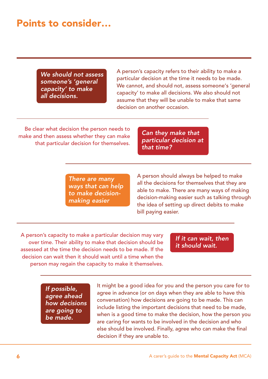## Points to consider…

*We should not assess someone's 'general capacity' to make all decisions.*

A person's capacity refers to their ability to make a particular decision at the time it needs to be made. We cannot, and should not, assess someone's 'general capacity' to make all decisions. We also should not assume that they will be unable to make that same decision on another occasion.

Be clear what decision the person needs to make and then assess whether they can make that particular decision for themselves.

*Can they make that particular decision at that time?*

*There are many ways that can help to make decisionmaking easier*

A person should always be helped to make all the decisions for themselves that they are able to make. There are many ways of making decision-making easier such as talking through the idea of setting up direct debits to make bill paying easier.

A person's capacity to make a particular decision may vary over time. Their ability to make that decision should be assessed at the time the decision needs to be made. If the decision can wait then it should wait until a time when the person may regain the capacity to make it themselves.

*If it can wait, then it should wait.*

*If possible, agree ahead how decisions are going to be made.*

It might be a good idea for you and the person you care for to agree in advance (or on days when they are able to have this conversation) how decisions are going to be made. This can include listing the important decisions that need to be made, when is a good time to make the decision, how the person you are caring for wants to be involved in the decision and who else should be involved. Finally, agree who can make the final decision if they are unable to.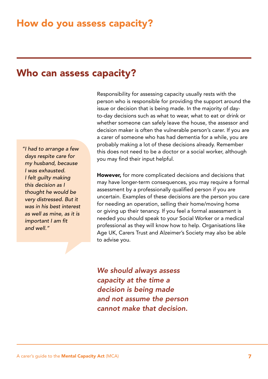## Who can assess capacity?

*"I had to arrange a few days respite care for my husband, because I was exhausted. I felt guilty making this decision as I thought he would be very distressed. But it was in his best interest as well as mine, as it is important I am fit and well."*

Responsibility for assessing capacity usually rests with the person who is responsible for providing the support around the issue or decision that is being made. In the majority of dayto-day decisions such as what to wear, what to eat or drink or whether someone can safely leave the house, the assessor and decision maker is often the vulnerable person's carer. If you are a carer of someone who has had dementia for a while, you are probably making a lot of these decisions already. Remember this does not need to be a doctor or a social worker, although you may find their input helpful.

However, for more complicated decisions and decisions that may have longer-term consequences, you may require a formal assessment by a professionally qualified person if you are uncertain. Examples of these decisions are the person you care for needing an operation, selling their home/moving home or giving up their tenancy. If you feel a formal assessment is needed you should speak to your Social Worker or a medical professional as they will know how to help. Organisations like Age UK, Carers Trust and Alzeimer's Society may also be able to advise you.

*We should always assess capacity at the time a decision is being made and not assume the person cannot make that decision.*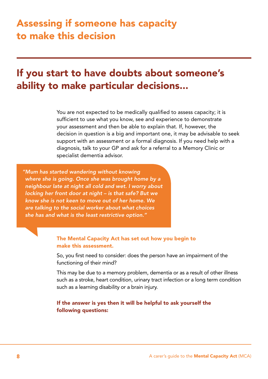## If you start to have doubts about someone's ability to make particular decisions...

You are not expected to be medically qualified to assess capacity; it is sufficient to use what you know, see and experience to demonstrate your assessment and then be able to explain that. If, however, the decision in question is a big and important one, it may be advisable to seek support with an assessment or a formal diagnosis. If you need help with a diagnosis, talk to your GP and ask for a referral to a Memory Clinic or specialist dementia advisor.

*"Mum has started wandering without knowing where she is going. Once she was brought home by a neighbour late at night all cold and wet. I worry about locking her front door at night – is that safe? But we know she is not keen to move out of her home. We are talking to the social worker about what choices she has and what is the least restrictive option."*

#### The Mental Capacity Act has set out how you begin to make this assessment.

So, you first need to consider: does the person have an impairment of the functioning of their mind?

This may be due to a memory problem, dementia or as a result of other illness such as a stroke, heart condition, urinary tract infection or a long term condition such as a learning disability or a brain injury.

#### If the answer is yes then it will be helpful to ask yourself the following questions: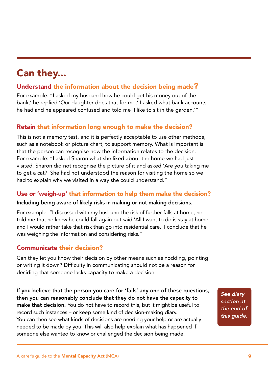# Can they...

### Understand the information about the decision being made?

For example: "I asked my husband how he could get his money out of the bank,' he replied 'Our daughter does that for me,' I asked what bank accounts he had and he appeared confused and told me 'I like to sit in the garden.'"

### Retain that information long enough to make the decision?

This is not a memory test, and it is perfectly acceptable to use other methods, such as a notebook or picture chart, to support memory. What is important is that the person can recognise how the information relates to the decision. For example: "I asked Sharon what she liked about the home we had just visited, Sharon did not recognise the picture of it and asked 'Are you taking me to get a cat?' She had not understood the reason for visiting the home so we had to explain why we visited in a way she could understand."

### Use or 'weigh-up' that information to help them make the decision?

#### Including being aware of likely risks in making or not making decisions.

For example: "I discussed with my husband the risk of further falls at home, he told me that he knew he could fall again but said 'All I want to do is stay at home and I would rather take that risk than go into residential care.' I conclude that he was weighing the information and considering risks."

### Communicate their decision?

Can they let you know their decision by other means such as nodding, pointing or writing it down? Difficulty in communicating should not be a reason for deciding that someone lacks capacity to make a decision.

If you believe that the person you care for 'fails' any one of these questions, then you can reasonably conclude that they do not have the capacity to make that decision. You do not have to record this, but it might be useful to record such instances – or keep some kind of decision-making diary. You can then see what kinds of decisions are needing your help or are actually needed to be made by you. This will also help explain what has happened if someone else wanted to know or challenged the decision being made.

*See diary section at the end of this guide.*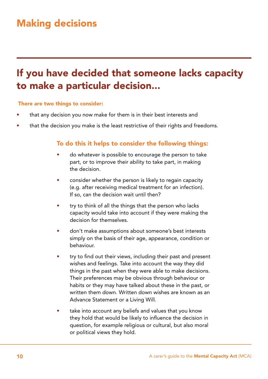# If you have decided that someone lacks capacity to make a particular decision...

#### There are two things to consider:

- that any decision you now make for them is in their best interests and
- that the decision you make is the least restrictive of their rights and freedoms.

#### To do this it helps to consider the following things:

- do whatever is possible to encourage the person to take part, or to improve their ability to take part, in making the decision.
- consider whether the person is likely to regain capacity (e.g. after receiving medical treatment for an infection). If so, can the decision wait until then?
- try to think of all the things that the person who lacks capacity would take into account if they were making the decision for themselves.
- don't make assumptions about someone's best interests simply on the basis of their age, appearance, condition or behaviour.
- try to find out their views, including their past and present wishes and feelings. Take into account the way they did things in the past when they were able to make decisions. Their preferences may be obvious through behaviour or habits or they may have talked about these in the past, or written them down. Written down wishes are known as an Advance Statement or a Living Will.
- take into account any beliefs and values that you know they hold that would be likely to influence the decision in question, for example religious or cultural, but also moral or political views they hold.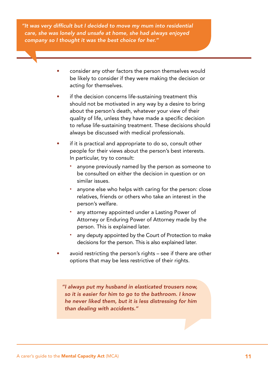*"It was very difficult but I decided to move my mum into residential care, she was lonely and unsafe at home, she had always enjoyed company so I thought it was the best choice for her."*

- consider any other factors the person themselves would be likely to consider if they were making the decision or acting for themselves.
- if the decision concerns life-sustaining treatment this should not be motivated in any way by a desire to bring about the person's death, whatever your view of their quality of life, unless they have made a specific decision to refuse life-sustaining treatment. These decisions should always be discussed with medical professionals.
- if it is practical and appropriate to do so, consult other people for their views about the person's best interests. In particular, try to consult:
	- anyone previously named by the person as someone to be consulted on either the decision in question or on similar issues.
	- anyone else who helps with caring for the person: close relatives, friends or others who take an interest in the person's welfare.
	- any attorney appointed under a Lasting Power of Attorney or Enduring Power of Attorney made by the person. This is explained later.
	- any deputy appointed by the Court of Protection to make decisions for the person. This is also explained later.
- avoid restricting the person's rights see if there are other options that may be less restrictive of their rights.

*"I always put my husband in elasticated trousers now, so it is easier for him to go to the bathroom. I know he never liked them, but it is less distressing for him than dealing with accidents."*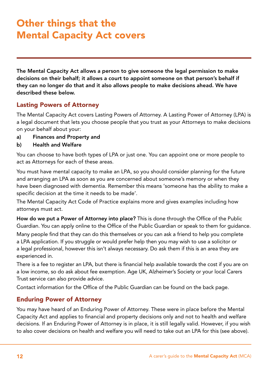# Other things that the Mental Capacity Act covers

The Mental Capacity Act allows a person to give someone the legal permission to make decisions on their behalf; it allows a court to appoint someone on that person's behalf if they can no longer do that and it also allows people to make decisions ahead. We have described these below.

### Lasting Powers of Attorney

The Mental Capacity Act covers Lasting Powers of Attorney. A Lasting Power of Attorney (LPA) is a legal document that lets you choose people that you trust as your Attorneys to make decisions on your behalf about your:

a) Finances and Property and

#### b) Health and Welfare

You can choose to have both types of LPA or just one. You can appoint one or more people to act as Attorneys for each of these areas.

You must have mental capacity to make an LPA, so you should consider planning for the future and arranging an LPA as soon as you are concerned about someone's memory or when they have been diagnosed with dementia. Remember this means 'someone has the ability to make a specific decision at the time it needs to be made'.

The Mental Capacity Act Code of Practice explains more and gives examples including how attorneys must act.

How do we put a Power of Attorney into place? This is done through the Office of the Public Guardian. You can apply online to the Office of the Public Guardian or speak to them for guidance.

Many people find that they can do this themselves or you can ask a friend to help you complete a LPA application. If you struggle or would prefer help then you may wish to use a solicitor or a legal professional, however this isn't always necessary. Do ask them if this is an area they are experienced in.

There is a fee to register an LPA, but there is financial help available towards the cost if you are on a low income, so do ask about fee exemption. Age UK, Alzheimer's Society or your local Carers Trust service can also provide advice.

Contact information for the Office of the Public Guardian can be found on the back page.

### Enduring Power of Attorney

You may have heard of an Enduring Power of Attorney. These were in place before the Mental Capacity Act and applies to financial and property decisions only and not to health and welfare decisions. If an Enduring Power of Attorney is in place, it is still legally valid. However, if you wish to also cover decisions on health and welfare you will need to take out an LPA for this (see above).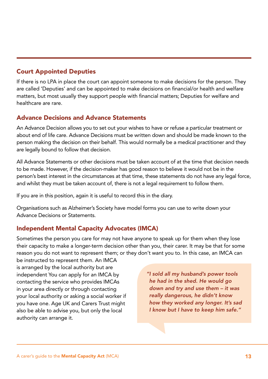### Court Appointed Deputies

If there is no LPA in place the court can appoint someone to make decisions for the person. They are called 'Deputies' and can be appointed to make decisions on financial/or health and welfare matters, but most usually they support people with financial matters; Deputies for welfare and healthcare are rare.

### Advance Decisions and Advance Statements

An Advance Decision allows you to set out your wishes to have or refuse a particular treatment or about end of life care. Advance Decisions must be written down and should be made known to the person making the decision on their behalf. This would normally be a medical practitioner and they are legally bound to follow that decision.

All Advance Statements or other decisions must be taken account of at the time that decision needs to be made. However, if the decision-maker has good reason to believe it would not be in the person's best interest in the circumstances at that time, these statements do not have any legal force, and whilst they must be taken account of, there is not a legal requirement to follow them.

If you are in this position, again it is useful to record this in the diary.

Organisations such as Alzheimer's Society have model forms you can use to write down your Advance Decisions or Statements.

### Independent Mental Capacity Advocates (IMCA)

Sometimes the person you care for may not have anyone to speak up for them when they lose their capacity to make a longer-term decision other than you, their carer. It may be that for some reason you do not want to represent them; or they don't want you to. In this case, an IMCA can

be instructed to represent them. An IMCA is arranged by the local authority but are independent You can apply for an IMCA by contacting the service who provides IMCAs in your area directly or through contacting your local authority or asking a social worker if you have one. Age UK and Carers Trust might also be able to advise you, but only the local authority can arrange it.

*"I sold all my husband's power tools he had in the shed. He would go down and try and use them – it was really dangerous, he didn't know how they worked any longer. It's sad I know but I have to keep him safe."*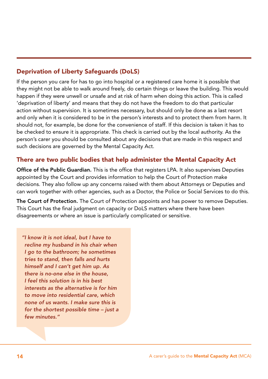### Deprivation of Liberty Safeguards (DoLS)

If the person you care for has to go into hospital or a registered care home it is possible that they might not be able to walk around freely, do certain things or leave the building. This would happen if they were unwell or unsafe and at risk of harm when doing this action. This is called 'deprivation of liberty' and means that they do not have the freedom to do that particular action without supervision. It is sometimes necessary, but should only be done as a last resort and only when it is considered to be in the person's interests and to protect them from harm. It should not, for example, be done for the convenience of staff. If this decision is taken it has to be checked to ensure it is appropriate. This check is carried out by the local authority. As the person's carer you should be consulted about any decisions that are made in this respect and such decisions are governed by the Mental Capacity Act.

### There are two public bodies that help administer the Mental Capacity Act

Office of the Public Guardian. This is the office that registers LPA. It also supervises Deputies appointed by the Court and provides information to help the Court of Protection make decisions. They also follow up any concerns raised with them about Attorneys or Deputies and can work together with other agencies, such as a Doctor, the Police or Social Services to do this.

The Court of Protection. The Court of Protection appoints and has power to remove Deputies. This Court has the final judgment on capacity or DoLS matters where there have been disagreements or where an issue is particularly complicated or sensitive.

*"I know it is not ideal, but I have to recline my husband in his chair when I go to the bathroom; he sometimes tries to stand, then falls and hurts himself and I can't get him up. As there is no-one else in the house, I feel this solution is in his best interests as the alternative is for him to move into residential care, which none of us wants. I make sure this is for the shortest possible time – just a few minutes."*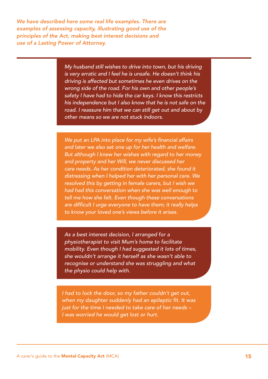*We have described here some real life examples. There are examples of assessing capacity, illustrating good use of the principles of the Act, making best interest decisions and use of a Lasting Power of Attorney.*

> *My husband still wishes to drive into town, but his driving is very erratic and I feel he is unsafe. He doesn't think his driving is affected but sometimes he even drives on the wrong side of the road. For his own and other people's safety I have had to hide the car keys. I know this restricts his independence but I also know that he is not safe on the road. I reassure him that we can still get out and about by other means so we are not stuck indoors.*

*We put an LPA into place for my wife's financial affairs and later we also set one up for her health and welfare. But although I knew her wishes with regard to her money and property and her Will, we never discussed her care needs. As her condition deteriorated, she found it distressing when I helped her with her personal care. We resolved this by getting in female carers, but I wish we had had this conversation when she was well enough to tell me how she felt. Even though these conversations are difficult I urge everyone to have them; it really helps to know your loved one's views before it arises.*

*As a best interest decision, I arranged for a physiotherapist to visit Mum's home to facilitate mobility. Even though I had suggested it lots of times, she wouldn't arrange it herself as she wasn't able to recognise or understand she was struggling and what the physio could help with.*

*I had to lock the door, so my father couldn't get out, when my daughter suddenly had an epileptic fit. It was just for the time I needed to take care of her needs – I was worried he would get lost or hurt.*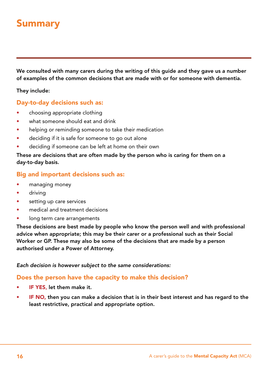## Summary

We consulted with many carers during the writing of this guide and they gave us a number of examples of the common decisions that are made with or for someone with dementia.

They include:

#### Day-to-day decisions such as:

- choosing appropriate clothing
- what someone should eat and drink
- helping or reminding someone to take their medication
- deciding if it is safe for someone to go out alone
- deciding if someone can be left at home on their own

These are decisions that are often made by the person who is caring for them on a day-to-day basis.

#### Big and important decisions such as:

- managing money
- driving
- setting up care services
- medical and treatment decisions
- long term care arrangements

These decisions are best made by people who know the person well and with professional advice when appropriate; this may be their carer or a professional such as their Social Worker or GP. These may also be some of the decisions that are made by a person authorised under a Power of Attorney.

#### *Each decision is however subject to the same considerations:*

#### Does the person have the capacity to make this decision?

- IF YES, let them make it.
- IF NO, then you can make a decision that is in their best interest and has regard to the least restrictive, practical and appropriate option.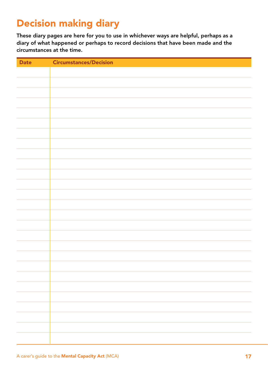# Decision making diary

These diary pages are here for you to use in whichever ways are helpful, perhaps as a diary of what happened or perhaps to record decisions that have been made and the circumstances at the time.

| <b>Date</b> | <b>Circumstances/Decision</b> |
|-------------|-------------------------------|
|             |                               |
|             |                               |
|             |                               |
|             |                               |
|             |                               |
|             |                               |
|             |                               |
|             |                               |
|             |                               |
|             |                               |
|             |                               |
|             |                               |
|             |                               |
|             |                               |
|             |                               |
|             |                               |
|             |                               |
|             |                               |
|             |                               |
|             |                               |
|             |                               |
|             |                               |
|             |                               |
|             |                               |
|             |                               |
|             |                               |
|             |                               |
|             |                               |
|             |                               |
|             |                               |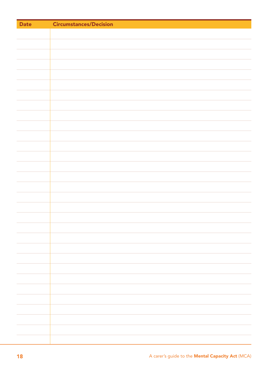| <b>Date</b> | <b>Circumstances/Decision</b> |
|-------------|-------------------------------|
|             |                               |
|             |                               |
|             |                               |
|             |                               |
|             |                               |
|             |                               |
|             |                               |
|             |                               |
|             |                               |
|             |                               |
|             |                               |
|             |                               |
|             |                               |
|             |                               |
|             |                               |
|             |                               |
|             |                               |
|             |                               |
|             |                               |
|             |                               |
|             |                               |
|             |                               |
|             |                               |
|             |                               |
|             |                               |
|             |                               |
|             |                               |
|             |                               |
|             |                               |
|             |                               |
|             |                               |
|             |                               |
|             |                               |
|             |                               |
|             |                               |
|             |                               |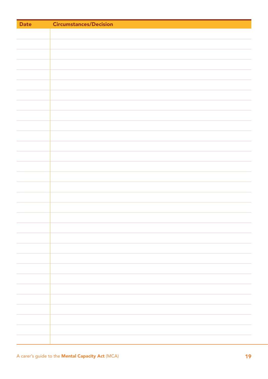| <b>Date</b> | <b>Circumstances/Decision</b> |
|-------------|-------------------------------|
|             |                               |
|             |                               |
|             |                               |
|             |                               |
|             |                               |
|             |                               |
|             |                               |
|             |                               |
|             |                               |
|             |                               |
|             |                               |
|             |                               |
|             |                               |
|             |                               |
|             |                               |
|             |                               |
|             |                               |
|             |                               |
|             |                               |
|             |                               |
|             |                               |
|             |                               |
|             |                               |
|             |                               |
|             |                               |
|             |                               |
|             |                               |
|             |                               |
|             |                               |
|             |                               |
|             |                               |
|             |                               |
|             |                               |
|             |                               |
|             |                               |
|             |                               |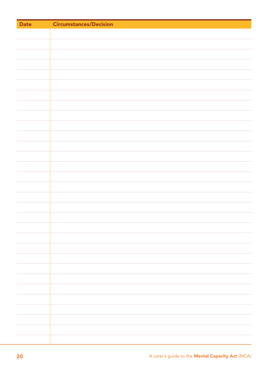| <b>Date</b> | <b>Circumstances/Decision</b> |
|-------------|-------------------------------|
|             |                               |
|             |                               |
|             |                               |
|             |                               |
|             |                               |
|             |                               |
|             |                               |
|             |                               |
|             |                               |
|             |                               |
|             |                               |
|             |                               |
|             |                               |
|             |                               |
|             |                               |
|             |                               |
|             |                               |
|             |                               |
|             |                               |
|             |                               |
|             |                               |
|             |                               |
|             |                               |
|             |                               |
|             |                               |
|             |                               |
|             |                               |
|             |                               |
|             |                               |
|             |                               |
|             |                               |
|             |                               |
|             |                               |
|             |                               |
|             |                               |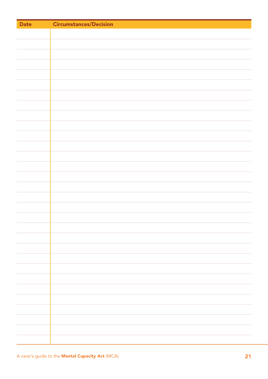| <b>Date</b> | <b>Circumstances/Decision</b> |
|-------------|-------------------------------|
|             |                               |
|             |                               |
|             |                               |
|             |                               |
|             |                               |
|             |                               |
|             |                               |
|             |                               |
|             |                               |
|             |                               |
|             |                               |
|             |                               |
|             |                               |
|             |                               |
|             |                               |
|             |                               |
|             |                               |
|             |                               |
|             |                               |
|             |                               |
|             |                               |
|             |                               |
|             |                               |
|             |                               |
|             |                               |
|             |                               |
|             |                               |
|             |                               |
|             |                               |
|             |                               |
|             |                               |
|             |                               |
|             |                               |
|             |                               |
|             |                               |
|             |                               |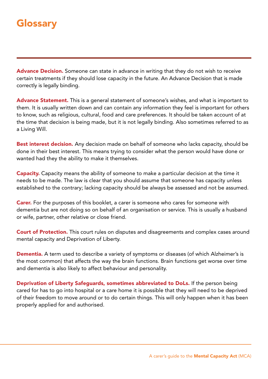## **Glossary**

Advance Decision. Someone can state in advance in writing that they do not wish to receive certain treatments if they should lose capacity in the future. An Advance Decision that is made correctly is legally binding.

Advance Statement. This is a general statement of someone's wishes, and what is important to them. It is usually written down and can contain any information they feel is important for others to know, such as religious, cultural, food and care preferences. It should be taken account of at the time that decision is being made, but it is not legally binding. Also sometimes referred to as a Living Will.

**Best interest decision.** Any decision made on behalf of someone who lacks capacity, should be done in their best interest. This means trying to consider what the person would have done or wanted had they the ability to make it themselves.

**Capacity.** Capacity means the ability of someone to make a particular decision at the time it needs to be made. The law is clear that you should assume that someone has capacity unless established to the contrary; lacking capacity should be always be assessed and not be assumed.

**Carer.** For the purposes of this booklet, a carer is someone who cares for someone with dementia but are not doing so on behalf of an organisation or service. This is usually a husband or wife, partner, other relative or close friend.

**Court of Protection.** This court rules on disputes and disagreements and complex cases around mental capacity and Deprivation of Liberty.

Dementia. A term used to describe a variety of symptoms or diseases (of which Alzheimer's is the most common) that affects the way the brain functions. Brain functions get worse over time and dementia is also likely to affect behaviour and personality.

Deprivation of Liberty Safeguards, sometimes abbreviated to DoLs. If the person being cared for has to go into hospital or a care home it is possible that they will need to be deprived of their freedom to move around or to do certain things. This will only happen when it has been properly applied for and authorised.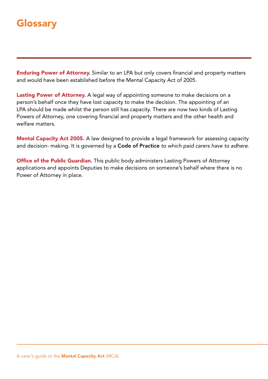## **Glossary**

**Enduring Power of Attorney.** Similar to an LPA but only covers financial and property matters and would have been established before the Mental Capacity Act of 2005.

Lasting Power of Attorney. A legal way of appointing someone to make decisions on a person's behalf once they have lost capacity to make the decision. The appointing of an LPA should be made whilst the person still has capacity. There are now two kinds of Lasting Powers of Attorney, one covering financial and property matters and the other health and welfare matters.

Mental Capacity Act 2005. A law designed to provide a legal framework for assessing capacity and decision- making. It is governed by a Code of Practice *to which paid carers have to adhere.*

**Office of the Public Guardian.** This public body administers Lasting Powers of Attorney applications and appoints Deputies to make decisions on someone's behalf where there is no Power of Attorney in place.